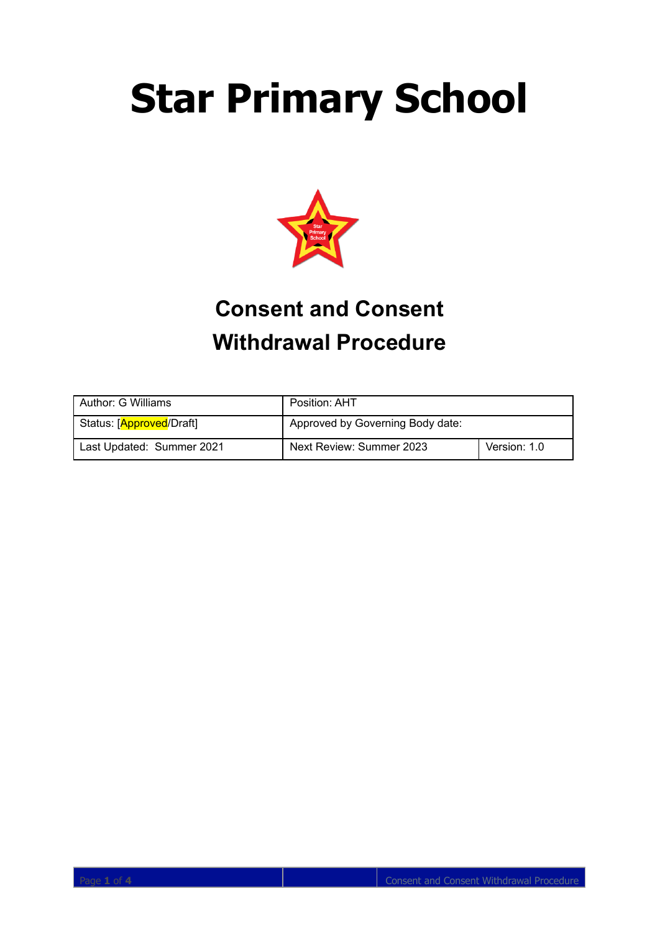# **Star Primary School**



## **Consent and Consent Withdrawal Procedure**

| Author: G Williams        | Position: AHT                    |              |
|---------------------------|----------------------------------|--------------|
| Status: [Approved/Draft]  | Approved by Governing Body date: |              |
| Last Updated: Summer 2021 | Next Review: Summer 2023         | Version: 1.0 |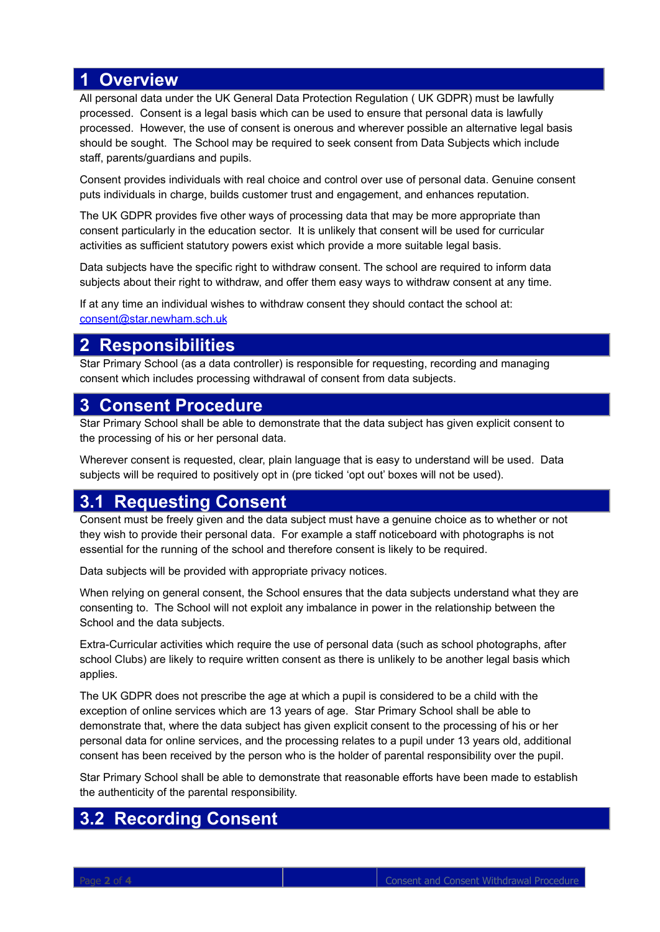#### **1 Overview**

All personal data under the UK General Data Protection Regulation ( UK GDPR) must be lawfully processed. Consent is a legal basis which can be used to ensure that personal data is lawfully processed. However, the use of consent is onerous and wherever possible an alternative legal basis should be sought. The School may be required to seek consent from Data Subjects which include staff, parents/guardians and pupils.

Consent provides individuals with real choice and control over use of personal data. Genuine consent puts individuals in charge, builds customer trust and engagement, and enhances reputation.

The UK GDPR provides five other ways of processing data that may be more appropriate than consent particularly in the education sector. It is unlikely that consent will be used for curricular activities as sufficient statutory powers exist which provide a more suitable legal basis.

Data subjects have the specific right to withdraw consent. The school are required to inform data subjects about their right to withdraw, and offer them easy ways to withdraw consent at any time.

If at any time an individual wishes to withdraw consent they should contact the school at: [consent@star.newham.sch.uk](mailto:consent@star.newham.sch.uk)

#### **2 Responsibilities**

Star Primary School (as a data controller) is responsible for requesting, recording and managing consent which includes processing withdrawal of consent from data subjects.

#### **3 Consent Procedure**

Star Primary School shall be able to demonstrate that the data subject has given explicit consent to the processing of his or her personal data.

Wherever consent is requested, clear, plain language that is easy to understand will be used. Data subjects will be required to positively opt in (pre ticked 'opt out' boxes will not be used).

#### **3.1 Requesting Consent**

Consent must be freely given and the data subject must have a genuine choice as to whether or not they wish to provide their personal data. For example a staff noticeboard with photographs is not essential for the running of the school and therefore consent is likely to be required.

Data subjects will be provided with appropriate privacy notices.

When relying on general consent, the School ensures that the data subjects understand what they are consenting to. The School will not exploit any imbalance in power in the relationship between the School and the data subjects.

Extra-Curricular activities which require the use of personal data (such as school photographs, after school Clubs) are likely to require written consent as there is unlikely to be another legal basis which applies.

The UK GDPR does not prescribe the age at which a pupil is considered to be a child with the exception of online services which are 13 years of age. Star Primary School shall be able to demonstrate that, where the data subject has given explicit consent to the processing of his or her personal data for online services, and the processing relates to a pupil under 13 years old, additional consent has been received by the person who is the holder of parental responsibility over the pupil.

Star Primary School shall be able to demonstrate that reasonable efforts have been made to establish the authenticity of the parental responsibility.

### **3.2 Recording Consent**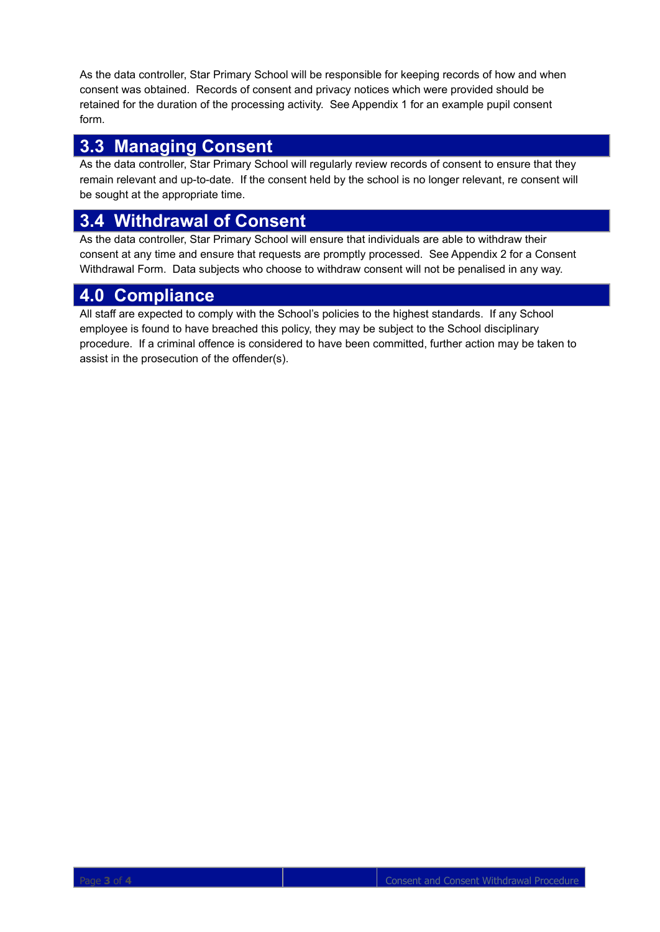As the data controller, Star Primary School will be responsible for keeping records of how and when consent was obtained. Records of consent and privacy notices which were provided should be retained for the duration of the processing activity. See Appendix 1 for an example pupil consent form.

#### **3.3 Managing Consent**

As the data controller, Star Primary School will regularly review records of consent to ensure that they remain relevant and up-to-date. If the consent held by the school is no longer relevant, re consent will be sought at the appropriate time.

## **3.4 Withdrawal of Consent**

As the data controller, Star Primary School will ensure that individuals are able to withdraw their consent at any time and ensure that requests are promptly processed. See Appendix 2 for a Consent Withdrawal Form. Data subjects who choose to withdraw consent will not be penalised in any way.

#### **4.0 Compliance**

All staff are expected to comply with the School's policies to the highest standards. If any School employee is found to have breached this policy, they may be subject to the School disciplinary procedure. If a criminal offence is considered to have been committed, further action may be taken to assist in the prosecution of the offender(s).